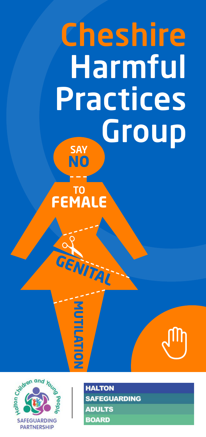# **Cheshire Harmful Practices**  $Group$ **NO**

#### **TO FEMALE**

**GENITAL** 

2

**M U TIL**

**AT OI N**



**HALTON AFEGUARDING ADULTS BOARD** 

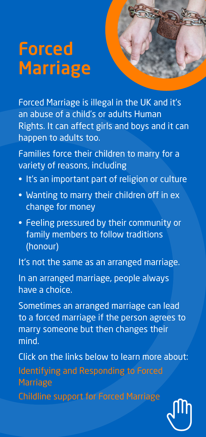### **Forced Marriage**



Families force their children to marry for a variety of reasons, including

- It's an important part of religion or culture
- Wanting to marry their children off in ex change for money
- Feeling pressured by their community or family members to follow traditions (honour)

It's not the same as an arranged marriage.

In an arranged marriage, people always have a choice.

Sometimes an arranged marriage can lead to a forced marriage if the person agrees to marry someone but then changes their mind.

Click on the links below to learn more about: Identifying and [Responding](https://www.gov.uk/guidance/forced-marriage) to Forced **[Marriage](https://www.gov.uk/guidance/forced-marriage)** Childline support for Forced [Marriage](https://www.childline.org.uk/info-advice/bullying-abuse-safety/crime-law/forced-marriage/)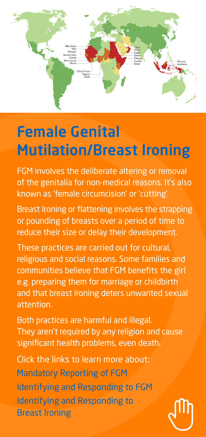

### **Female Genital Mutilation/Breast Ironing**

FGM involves the deliberate altering or removal of the genitalia for non-medical reasons. It's also known as 'female circumcision' or 'cutting'.

Breast Ironing or flattening involves the strapping or pounding of breasts over a period of time to reduce their size or delay their development.

These practices are carried out for cultural, religious and social reasons. Some families and communities believe that FGM benefits the girl e.g. preparing them for marriage or childbirth and that breast ironing deters unwanted sexual attention.

Both practices are harmful and illegal. They aren't required by any religion and cause significant health problems, even death.

Click the links to learn more about: [Mandatory](https://www.gov.uk/government/publications/mandatory-reporting-of-female-genital-mutilation-procedural-information/mandatory-reporting-of-female-genital-mutilation-procedural-information-accessible-version) Reporting of FGM Identifying and [Responding](http://nationalfgmcentre.org.uk/fgm/) to FGM Identifying and [Responding](http://nationalfgmcentre.org.uk/breast-flattening/) to Breast [Ironing](http://nationalfgmcentre.org.uk/breast-flattening/)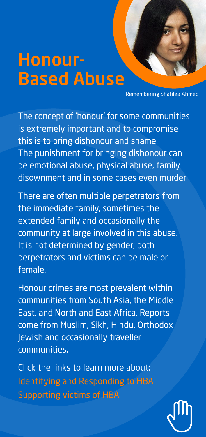### **Honour-Based Abuse**

Remembering Shafilea Ahmed

The concept of 'honour' for some communities is extremely important and to compromise this is to bring dishonour and shame. The punishment for bringing dishonour can be emotional abuse, physical abuse, family disownment and in some cases even murder.

There are often multiple perpetrators from the immediate family, sometimes the extended family and occasionally the community at large involved in this abuse. It is not determined by gender; both perpetrators and victims can be male or female.

Honour crimes are most prevalent within communities from South Asia, the Middle East, and North and East Africa. Reports come from Muslim, Sikh, Hindu, Orthodox Jewish and occasionally traveller communities.

Click the links to learn more about: Identifying and [Responding](https://safeguardinghub.co.uk/honour-based-abuse-the-facts/) to HBA [Supporting](https://karmanirvana.org.uk/) victims of HBA

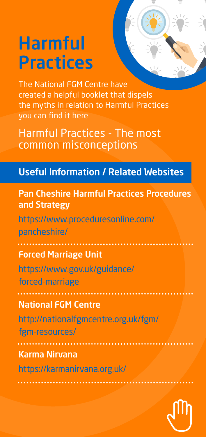## **Harmful Practices**

The National FGM Centre have created a helpful booklet that dispels the myths in relation to Harmful Practices you can find it here

Harmful [Practices](http://nationalfgmcentre.org.uk/wp-content/uploads/2020/03/Harmful-Practices-The-Most-Common-Misconceptions.pdf) - The most common [misconceptions](http://nationalfgmcentre.org.uk/wp-content/uploads/2020/03/Harmful-Practices-The-Most-Common-Misconceptions.pdf)

#### **Useful Information / Related Websites**

**Pan Cheshire Harmful Practices Procedures and Strategy** [https://www.proceduresonline.com/](https://www.proceduresonline.com/pancheshire/) [pancheshire/](https://www.proceduresonline.com/pancheshire/) **Forced Marriage Unit** [https://www.gov.uk/guidance/](https://www.gov.uk/guidance/forced-marriage) [forced-marriage](https://www.gov.uk/guidance/forced-marriage) **National FGM Centre** [http://nationalfgmcentre.org.uk/fgm/](http://nationalfgmcentre.org.uk/fgm/fgm-resources/) [fgm-resources/](http://nationalfgmcentre.org.uk/fgm/fgm-resources/) **Karma Nirvana** <https://karmanirvana.org.uk/>